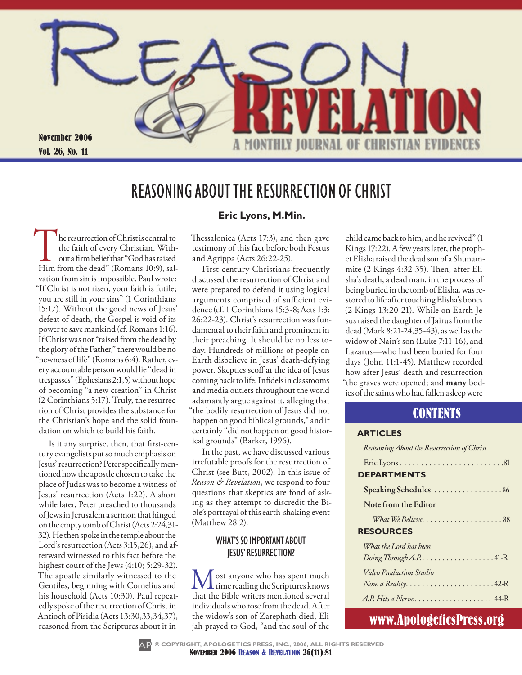

## Reasoning ABout The Resurrection of Christ

The resurrection of Christ is central to<br>the faith of every Christian. With-<br>out a firm belief that "God has raised<br>Him from the dead" (Romans 10:9), salthe faith of every Christian. Without a firm belief that "God has raised vation from sin is impossible. Paul wrote: "If Christ is not risen, your faith is futile; you are still in your sins" (1 Corinthians 15:17). Without the good news of Jesus' defeat of death, the Gospel is void of its power to save mankind (cf. Romans 1:16). If Christ was not "raised from the dead by the glory of the Father," there would be no "newness of life" (Romans 6:4). Rather, every accountable person would lie "dead in trespasses" (Ephesians 2:1,5) without hope of becoming "a new creation" in Christ (2 Corinthians 5:17). Truly, the resurrection of Christ provides the substance for the Christian's hope and the solid foundation on which to build his faith.

Is it any surprise, then, that first-century evangelists put so much emphasis on Jesus' resurrection? Peter specifically mentioned how the apostle chosen to take the place of Judas was to become a witness of Jesus' resurrection (Acts 1:22). A short while later, Peter preached to thousands of Jews in Jerusalem a sermon that hinged on the empty tomb of Christ (Acts 2:24,31- 32). He then spoke in the temple about the Lord's resurrection (Acts 3:15,26), and afterward witnessed to this fact before the highest court of the Jews (4:10; 5:29-32). The apostle similarly witnessed to the Gentiles, beginning with Cornelius and his household (Acts 10:30). Paul repeatedly spoke of the resurrection of Christ in Antioch of Pisidia (Acts 13:30,33,34,37), reasoned from the Scriptures about it in

#### **Eric Lyons, M.Min.**

Thessalonica (Acts 17:3), and then gave testimony of this fact before both Festus and Agrippa (Acts 26:22-25).

First-century Christians frequently discussed the resurrection of Christ and were prepared to defend it using logical arguments comprised of sufficient evidence (cf. 1 Corinthians 15:3-8; Acts 1:3; 26:22-23). Christ's resurrection was fundamental to their faith and prominent in their preaching. It should be no less today. Hundreds of millions of people on Earth disbelieve in Jesus' death-defying power. Skeptics scoff at the idea of Jesus coming back to life. Infidels in classrooms and media outlets throughout the world adamantly argue against it, alleging that "the bodily resurrection of Jesus did not happen on good biblical grounds," and it certainly "did not happen on good historical grounds" (Barker, 1996).

In the past, we have discussed various irrefutable proofs for the resurrection of Christ (see Butt, 2002). In this issue of *Reason & Revelation*, we respond to four questions that skeptics are fond of asking as they attempt to discredit the Bible's portrayal of this earth-shaking event (Matthew 28:2).

#### WHAT'S SO IMPORTANT ABOUT Jesus' Resurrection?

**M** ost anyone who has spent much<br>time reading the Scriptures knows<br>that the Bible writers mentioned caused that the Bible writers mentioned several individuals who rose from the dead. After the widow's son of Zarephath died, Elijah prayed to God, "and the soul of the

child came back to him, and he revived" (1 Kings 17:22). A few years later, the prophet Elisha raised the dead son of a Shunammite (2 Kings 4:32-35). Then, after Elisha's death, a dead man, in the process of being buried in the tomb of Elisha, was restored to life after touching Elisha's bones (2 Kings 13:20-21). While on Earth Jesus raised the daughter of Jairus from the dead (Mark 8:21-24,35-43), as well as the widow of Nain's son (Luke 7:11-16), and Lazarus—who had been buried for four days (John 11:1-45). Matthew recorded how after Jesus' death and resurrection "the graves were opened; and **many** bodies of the saints who had fallen asleep were

### **CONTENTS**

#### **Articles**

| Reasoning About the Resurrection of Christ                               |
|--------------------------------------------------------------------------|
|                                                                          |
| <b>DEPARTMENTS</b>                                                       |
| Speaking Schedules 86                                                    |
| Note from the Editor                                                     |
|                                                                          |
| <b>RESOURCES</b>                                                         |
| What the Lord has heen                                                   |
|                                                                          |
| Video Production Studio                                                  |
| $Now$ a Reality. $\dots$ . $\dots$ . $\dots$ . $\dots$ . 42-R            |
| $A.P. Hits a Nerve \dots \dots \dots \dots \dots \dots \dots \quad 44-R$ |

## www.ApologeticsPress.org



**© COPYRIGHT, APOLOGETICS PRESS, INC., 2006, ALL RIGHTS RESERVED**

November 2006 Reason & Revelation 26(11):81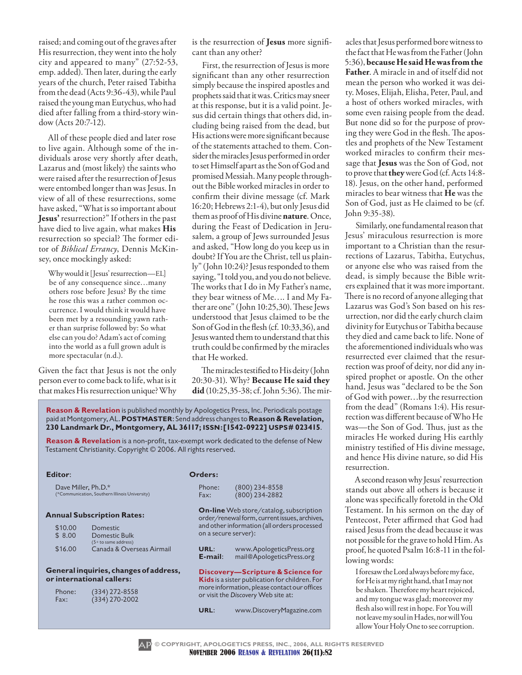raised; and coming out of the graves after His resurrection, they went into the holy city and appeared to many" (27:52-53, emp. added). Then later, during the early years of the church, Peter raised Tabitha from the dead (Acts 9:36-43), while Paul raised the young man Eutychus, who had died after falling from a third-story window (Acts 20:7-12).

All of these people died and later rose to live again. Although some of the individuals arose very shortly after death, Lazarus and (most likely) the saints who were raised after the resurrection of Jesus were entombed longer than was Jesus. In view of all of these resurrections, some have asked, "What is so important about **Jesus'** resurrection?" If others in the past have died to live again, what makes **His**  resurrection so special? The former editor of *Biblical Errancy*, Dennis McKinsey, once mockingly asked:

Why would it [Jesus' resurrection—EL] be of any consequence since…many others rose before Jesus? By the time he rose this was a rather common occurrence. I would think it would have been met by a resounding yawn rather than surprise followed by: So what else can you do? Adam's act of coming into the world as a full grown adult is more spectacular (n.d.).

Given the fact that Jesus is not the only person ever to come back to life, what is it that makes His resurrection unique? Why

is the resurrection of **Jesus** more significant than any other?

First, the resurrection of Jesus is more significant than any other resurrection simply because the inspired apostles and prophets said that it was. Critics may sneer at this response, but it is a valid point. Jesus did certain things that others did, including being raised from the dead, but His actions were more significant because of the statements attached to them. Consider the miracles Jesus performed in order to set Himself apart as the Son of God and promised Messiah. Many people throughout the Bible worked miracles in order to confirm their divine message (cf. Mark 16:20; Hebrews 2:1-4), but only Jesus did them as proof of His divine **nature**. Once, during the Feast of Dedication in Jerusalem, a group of Jews surrounded Jesus and asked, "How long do you keep us in doubt? If You are the Christ, tell us plainly" (John 10:24)? Jesus responded to them saying, "I told you, and you do not believe. The works that I do in My Father's name, they bear witness of Me…. I and My Father are one" (John 10:25,30). These Jews understood that Jesus claimed to be the Son of God in the flesh (cf. 10:33,36), and Jesus wanted them to understand that this truth could be confirmed by the miracles that He worked.

The miracles testified to His deity (John 20:30-31). Why? **Because He said they did** (10:25,35-38; cf. John 5:36). The mir-

**Reason & Revelation** is published monthly by Apologetics Press, Inc. Periodicals postage paid at Montgomery, AL. **Postmaster**: Send address changes to **Reason & Revelation, 230 Landmark Dr., Montgomery, AL 36117; issn:[1542-0922] usps# 023415**.

**Reason & Revelation** is a non-profit, tax-exempt work dedicated to the defense of New Testament Christianity. Copyright © 2006. All rights reserved.

| Editor:                                                               |                                                   | Orders:                                                                                                                                                                |                                                                                     |  |
|-----------------------------------------------------------------------|---------------------------------------------------|------------------------------------------------------------------------------------------------------------------------------------------------------------------------|-------------------------------------------------------------------------------------|--|
| Dave Miller, Ph.D.*<br>(*Communication, Southern Illinois University) |                                                   | Phone:<br>Fax:                                                                                                                                                         | (800) 234-8558<br>(800) 234-2882                                                    |  |
|                                                                       | <b>Annual Subscription Rates:</b>                 | <b>On-line</b> Web store/catalog, subscription<br>order/renewal form, current issues, archives,<br>and other information (all orders processed<br>on a secure server): |                                                                                     |  |
| \$10.00<br>\$8.00                                                     | Domestic<br>Domestic Bulk<br>(5+ to same address) |                                                                                                                                                                        |                                                                                     |  |
| \$16.00                                                               | Canada & Overseas Airmail                         | URL:<br>E-mail:                                                                                                                                                        | www.ApologeticsPress.org<br>mail@ApologeticsPress.org                               |  |
| General inquiries, changes of address,<br>or international callers:   |                                                   | Discovery-Scripture & Science for<br>Kids is a sister publication for children. For                                                                                    |                                                                                     |  |
| Phone:<br>Fax:                                                        | (334) 272-8558<br>334) 270-2002                   |                                                                                                                                                                        | more information, please contact our offices<br>or visit the Discovery Web site at: |  |

**url**: www.DiscoveryMagazine.com

acles that Jesus performed bore witness to the fact that He was from the Father (John 5:36), **because He said He was from the Father**. A miracle in and of itself did not mean the person who worked it was deity. Moses, Elijah, Elisha, Peter, Paul, and a host of others worked miracles, with some even raising people from the dead. But none did so for the purpose of proving they were God in the flesh. The apostles and prophets of the New Testament worked miracles to confirm their message that **Jesus** was the Son of God, not to prove that **they** were God (cf. Acts 14:8- 18). Jesus, on the other hand, performed miracles to bear witness that **He** was the Son of God, just as He claimed to be (cf. John 9:35-38).

Similarly, one fundamental reason that Jesus' miraculous resurrection is more important to a Christian than the resurrections of Lazarus, Tabitha, Eutychus, or anyone else who was raised from the dead, is simply because the Bible writers explained that it was more important. There is no record of anyone alleging that Lazarus was God's Son based on his resurrection, nor did the early church claim divinity for Eutychus or Tabitha because they died and came back to life. None of the aforementioned individuals who was resurrected ever claimed that the resurrection was proof of deity, nor did any inspired prophet or apostle. On the other hand, Jesus was "declared to be the Son of God with power…by the resurrection from the dead" (Romans 1:4). His resurrection was different because of Who He was—the Son of God. Thus, just as the miracles He worked during His earthly ministry testified of His divine message, and hence His divine nature, so did His resurrection.

A second reason why Jesus' resurrection stands out above all others is because it alone was specifically foretold in the Old Testament. In his sermon on the day of Pentecost, Peter affirmed that God had raised Jesus from the dead because it was not possible for the grave to hold Him. As proof, he quoted Psalm 16:8-11 in the following words:

I foresaw the Lord always before my face, for He is at my right hand, that I may not be shaken. Therefore my heart rejoiced, and my tongue was glad; moreover my flesh also will rest in hope. For You will not leave my soul in Hades, nor will You allow Your Holy One to see corruption.

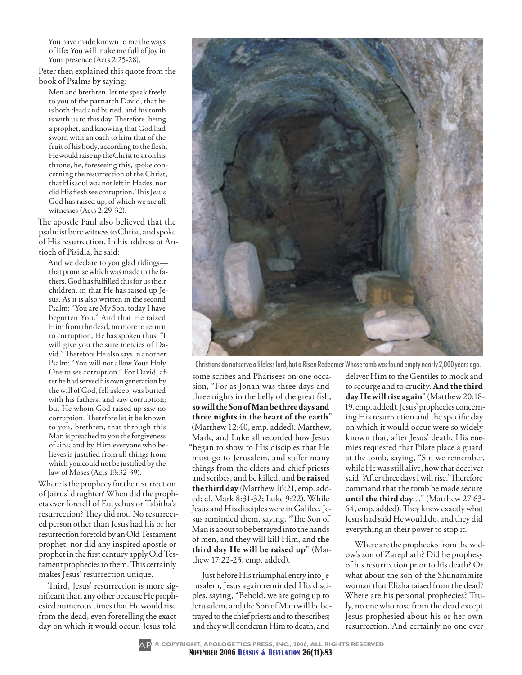You have made known to me the ways of life; You will make me full of joy in Your presence (Acts 2:25-28).

Peter then explained this quote from the book of Psalms by saying:

Men and brethren, let me speak freely to you of the patriarch David, that he is both dead and buried, and his tomb is with us to this day. Therefore, being a prophet, and knowing that God had sworn with an oath to him that of the fruit of his body, according to the flesh, He would raise up the Christ to sit on his throne, he, foreseeing this, spoke concerning the resurrection of the Christ, that His soul was not left in Hades, nor did His flesh see corruption. This Jesus God has raised up, of which we are all witnesses (Acts 2:29-32).

The apostle Paul also believed that the psalmist bore witness to Christ, and spoke of His resurrection. In his address at Antioch of Pisidia, he said:

And we declare to you glad tidings that promise which was made to the fathers. God has fulfilled this for us their children, in that He has raised up Jesus. As it is also written in the second Psalm: "You are My Son, today I have begotten You." And that He raised Him from the dead, no more to return to corruption, He has spoken thus: "I will give you the sure mercies of David." Therefore He also says in another Psalm: "You will not allow Your Holy One to see corruption." For David, after he had served his own generation by the will of God, fell asleep, was buried with his fathers, and saw corruption; but He whom God raised up saw no corruption. Therefore let it be known to you, brethren, that through this Man is preached to you the forgiveness of sins; and by Him everyone who believes is justified from all things from which you could not be justified by the law of Moses (Acts 13:32-39).

Where is the prophecy for the resurrection of Jairus' daughter? When did the prophets ever foretell of Eutychus or Tabitha's resurrection? They did not. No resurrected person other than Jesus had his or her resurrection foretold by an Old Testament prophet, nor did any inspired apostle or prophet in the first century apply Old Testament prophecies to them. This certainly makes Jesus' resurrection unique.

Third, Jesus' resurrection is more significant than any other because He prophesied numerous times that He would rise from the dead, even foretelling the exact day on which it would occur. Jesus told



Christians do not serve a lifeless lord, but a Risen Redeemer Whose tomb was found empty nearly 2,000 years ago.

some scribes and Pharisees on one occasion, "For as Jonah was three days and three nights in the belly of the great fish, **so will the Son of Man be three days and three nights in the heart of the earth**" (Matthew 12:40, emp. added). Matthew, Mark, and Luke all recorded how Jesus "began to show to His disciples that He must go to Jerusalem, and suffer many things from the elders and chief priests and scribes, and be killed, and **be raised the third day** (Matthew 16:21, emp. added; cf. Mark 8:31-32; Luke 9:22). While Jesus and His disciples were in Galilee, Jesus reminded them, saying, "The Son of Man is about to be betrayed into the hands of men, and they will kill Him, and **the third day He will be raised up**" (Matthew 17:22-23, emp. added).

Just before His triumphal entry into Jerusalem, Jesus again reminded His disciples, saying, "Behold, we are going up to Jerusalem, and the Son of Man will be betrayed to the chief priests and to the scribes; and they will condemn Him to death, and

deliver Him to the Gentiles to mock and to scourge and to crucify. **And the third day He will rise again**" (Matthew 20:18- 19, emp. added). Jesus' prophecies concerning His resurrection and the specific day on which it would occur were so widely known that, after Jesus' death, His enemies requested that Pilate place a guard at the tomb, saying, "Sir, we remember, while He was still alive, how that deceiver said, 'After three days I will rise.' Therefore command that the tomb be made secure **until the third day**…" (Matthew 27:63- 64, emp. added). They knew exactly what Jesus had said He would do, and they did everything in their power to stop it.

Where are the prophecies from the widow's son of Zarephath? Did he prophesy of his resurrection prior to his death? Or what about the son of the Shunammite woman that Elisha raised from the dead? Where are his personal prophecies? Truly, no one who rose from the dead except Jesus prophesied about his or her own resurrection. And certainly no one ever



**© COPYRIGHT, APOLOGETICS PRESS, INC., 2006, ALL RIGHTS RESERVED**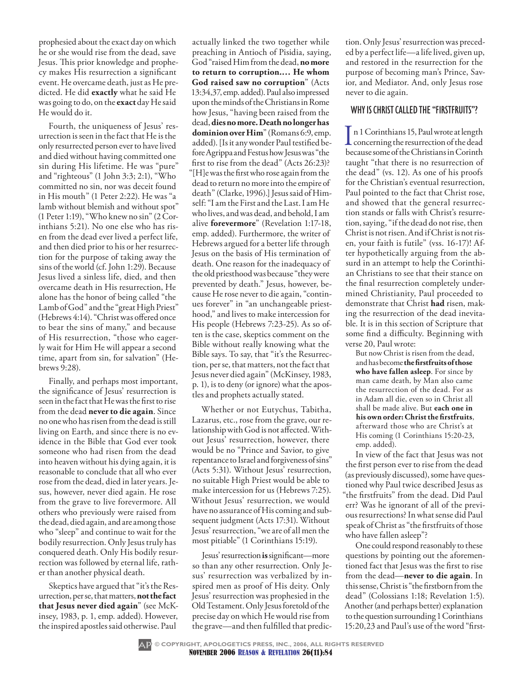prophesied about the exact day on which he or she would rise from the dead, save Jesus. This prior knowledge and prophecy makes His resurrection a significant event. He overcame death, just as He predicted. He did **exactly** what he said He was going to do, on the **exact** day He said He would do it.

Fourth, the uniqueness of Jesus' resurrection is seen in the fact that He is the only resurrected person ever to have lived and died without having committed one sin during His lifetime. He was "pure" and "righteous" (1 John 3:3; 2:1), "Who committed no sin, nor was deceit found in His mouth" (1 Peter 2:22). He was "a lamb without blemish and without spot" (1 Peter 1:19), "Who knew no sin" (2 Corinthians 5:21). No one else who has risen from the dead ever lived a perfect life, and then died prior to his or her resurrection for the purpose of taking away the sins of the world (cf. John 1:29). Because Jesus lived a sinless life, died, and then overcame death in His resurrection, He alone has the honor of being called "the Lamb of God" and the "great High Priest" (Hebrews 4:14). "Christ was offered once to bear the sins of many," and because of His resurrection, "those who eagerly wait for Him He will appear a second time, apart from sin, for salvation" (Hebrews 9:28).

Finally, and perhaps most important, the significance of Jesus' resurrection is seen in the fact that He was the first to rise from the dead **never to die again**. Since no one who has risen from the dead is still living on Earth, and since there is no evidence in the Bible that God ever took someone who had risen from the dead into heaven without his dying again, it is reasonable to conclude that all who ever rose from the dead, died in later years. Jesus, however, never died again. He rose from the grave to live forevermore. All others who previously were raised from the dead, died again, and are among those who "sleep" and continue to wait for the bodily resurrection. Only Jesus truly has conquered death. Only His bodily resurrection was followed by eternal life, rather than another physical death.

Skeptics have argued that "it's the Resurrection, per se, that matters, **not the fact that Jesus never died again**" (see McKinsey, 1983, p. 1, emp. added). However, the inspired apostles said otherwise. Paul

actually linked the two together while preaching in Antioch of Pisidia, saying, God "raised Him from the dead, **no more to return to corruption.… He whom God raised saw no corruption**" (Acts 13:34,37, emp. added). Paul also impressed upon the minds of the Christians in Rome how Jesus, "having been raised from the dead, **dies no more. Death no longer has dominion over Him**" (Romans 6:9, emp. added). [Is it any wonder Paul testified before Agrippa and Festus how Jesus was "the first to rise from the dead" (Acts 26:23)? "[H]e was the first who rose again from the dead to return no more into the empire of death" (Clarke, 1996).] Jesus said of Himself: "I am the First and the Last. I am He who lives, and was dead, and behold, I am alive **forevermore**" (Revelation 1:17-18, emp. added). Furthermore, the writer of Hebrews argued for a better life through Jesus on the basis of His termination of death. One reason for the inadequacy of the old priesthood was because "they were prevented by death." Jesus, however, because He rose never to die again, "continues forever" in "an unchangeable priesthood," and lives to make intercession for His people (Hebrews 7:23-25). As so often is the case, skeptics comment on the Bible without really knowing what the Bible says. To say, that "it's the Resurrection, per se, that matters, not the fact that Jesus never died again" (McKinsey, 1983, p. 1), is to deny (or ignore) what the apostles and prophets actually stated.

Whether or not Eutychus, Tabitha, Lazarus, etc., rose from the grave, our relationship with God is not affected. Without Jesus' resurrection, however, there would be no "Prince and Savior, to give repentance to Israel and forgiveness of sins" (Acts 5:31). Without Jesus' resurrection, no suitable High Priest would be able to make intercession for us (Hebrews 7:25). Without Jesus' resurrection, we would have no assurance of His coming and subsequent judgment (Acts 17:31). Without Jesus' resurrection, "we are of all men the most pitiable" (1 Corinthians 15:19).

Jesus' resurrection **is** significant—more so than any other resurrection. Only Jesus' resurrection was verbalized by inspired men as proof of His deity. Only Jesus' resurrection was prophesied in the Old Testament. Only Jesus foretold of the precise day on which He would rise from the grave—and then fulfilled that prediction. Only Jesus' resurrection was preceded by a perfect life—a life lived, given up, and restored in the resurrection for the purpose of becoming man's Prince, Savior, and Mediator. And, only Jesus rose never to die again.

#### WHY IS CHRIST CALLED THE "FIRSTFRUITS"?

In 1 Corinthians 15, Paul wrote at length concerning the resurrection of the dead because some of the Christians in Corinth taught "that there is no resurrection of the dead" (vs. 12). As one of his proofs for the Christian's eventual resurrection, Paul pointed to the fact that Christ rose, and showed that the general resurrection stands or falls with Christ's resurretion, saying, "if the dead do not rise, then Christ is not risen. And if Christ is not risen, your faith is futile" (vss. 16-17)! After hypothetically arguing from the absurd in an attempt to help the Corinthian Christians to see that their stance on the final resurrection completely undermined Christianity, Paul proceeded to demonstrate that Christ **had** risen, making the resurrection of the dead inevitable. It is in this section of Scripture that some find a difficulty. Beginning with verse 20, Paul wrote:

But now Christ is risen from the dead, and has become **the firstfruits of those who have fallen asleep**. For since by man came death, by Man also came the resurrection of the dead. For as in Adam all die, even so in Christ all shall be made alive. But **each one in his own order: Christ the firstfruits**, afterward those who are Christ's at His coming (1 Corinthians 15:20-23, emp. added).

In view of the fact that Jesus was not the first person ever to rise from the dead (as previously discussed), some have questioned why Paul twice described Jesus as "the firstfruits" from the dead. Did Paul err? Was he ignorant of all of the previous resurrections? In what sense did Paul speak of Christ as "the firstfruits of those who have fallen asleep"?

One could respond reasonably to these questions by pointing out the aforementioned fact that Jesus was the first to rise from the dead—**never to die again**. In this sense, Christ is "the firstborn from the dead" (Colossians 1:18; Revelation 1:5). Another (and perhaps better) explanation to the question surrounding 1 Corinthians 15:20,23 and Paul's use of the word "first-

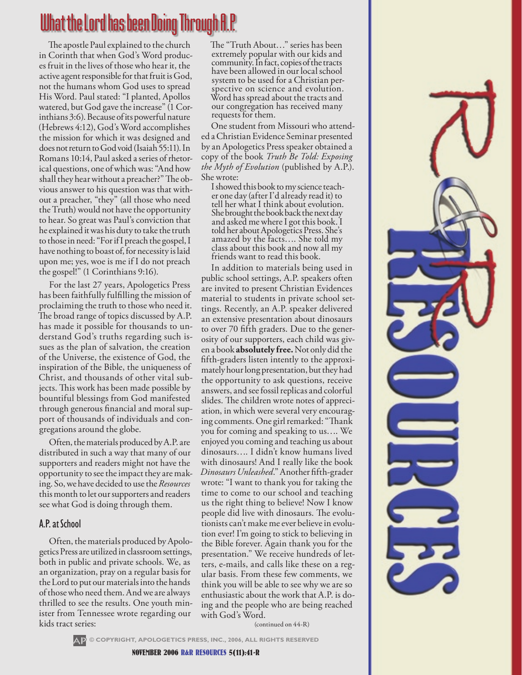# What the Lord has been Doing Through A.P.

The apostle Paul explained to the church in Corinth that when God's Word produces fruit in the lives of those who hear it, the active agent responsible for that fruit is God, not the humans whom God uses to spread His Word. Paul stated: "I planted, Apollos watered, but God gave the increase" (1 Corinthians 3:6). Because of its powerful nature (Hebrews 4:12), God's Word accomplishes the mission for which it was designed and does not return to God void (Isaiah 55:11). In Romans 10:14, Paul asked a series of rhetorical questions, one of which was: "And how shall they hear without a preacher?" The obvious answer to his question was that without a preacher, "they" (all those who need the Truth) would not have the opportunity to hear. So great was Paul's conviction that he explained it was his duty to take the truth to those in need: "For if I preach the gospel, I have nothing to boast of, for necessity is laid upon me; yes, woe is me if I do not preach the gospel!" (1 Corinthians 9:16).

For the last 27 years, Apologetics Press has been faithfully fulfilling the mission of proclaiming the truth to those who need it. The broad range of topics discussed by A.P. has made it possible for thousands to understand God's truths regarding such issues as the plan of salvation, the creation of the Universe, the existence of God, the inspiration of the Bible, the uniqueness of Christ, and thousands of other vital subjects. This work has been made possible by bountiful blessings from God manifested through generous financial and moral support of thousands of individuals and congregations around the globe.

Often, the materials produced by A.P. are distributed in such a way that many of our supporters and readers might not have the opportunity to see the impact they are making. So, we have decided to use the *Resources* this month to let our supporters and readers see what God is doing through them.

#### A.P. at School

Often, the materials produced by Apologetics Press are utilized in classroom settings, both in public and private schools. We, as an organization, pray on a regular basis for the Lord to put our materials into the hands of those who need them. And we are always thrilled to see the results. One youth minister from Tennessee wrote regarding our kids tract series:

The "Truth About…" series has been extremely popular with our kids and community. In fact, copies of the tracts have been allowed in our local school<br>system to be used for a Christian perspective on science and evolution. Word has spread about the tracts and our congregation has received many requests for them.

One student from Missouri who attended a Christian Evidence Seminar presented by an Apologetics Press speaker obtained a copy of the book *Truth Be Told: Exposing the Myth of Evolution* (published by A.P.).

She wrote:<br>I showed this book to my science teacher one day (after I'd already read it) to tell her what I think about evolution. She brought the book back the next day and asked me where I got this book. I told her about Apologetics Press. She's amazed by the facts…. She told my class about this book and now all my friends want to read this book.

In addition to materials being used in public school settings, A.P. speakers often are invited to present Christian Evidences material to students in private school settings. Recently, an A.P. speaker delivered an extensive presentation about dinosaurs to over 70 fifth graders. Due to the generosity of our supporters, each child was given a book **absolutely free.** Not only did the fifth-graders listen intently to the approximately hour long presentation, but they had the opportunity to ask questions, receive answers, and see fossil replicas and colorful slides. The children wrote notes of appreciation, in which were several very encouraging comments. One girl remarked: "Thank you for coming and speaking to us…. We enjoyed you coming and teaching us about dinosaurs…. I didn't know humans lived with dinosaurs! And I really like the book *Dinosaurs Unleashed*." Another fifth-grader wrote: "I want to thank you for taking the time to come to our school and teaching us the right thing to believe! Now I know people did live with dinosaurs. The evolutionists can't make me ever believe in evolution ever! I'm going to stick to believing in the Bible forever. Again thank you for the presentation." We receive hundreds of letters, e-mails, and calls like these on a regular basis. From these few comments, we think you will be able to see why we are so enthusiastic about the work that A.P. is doing and the people who are being reached with God's Word.

(continued on 44-R)



**© COPYRIGHT, APOLOGETICS PRESS, INC., 2006, ALL RIGHTS RESERVED**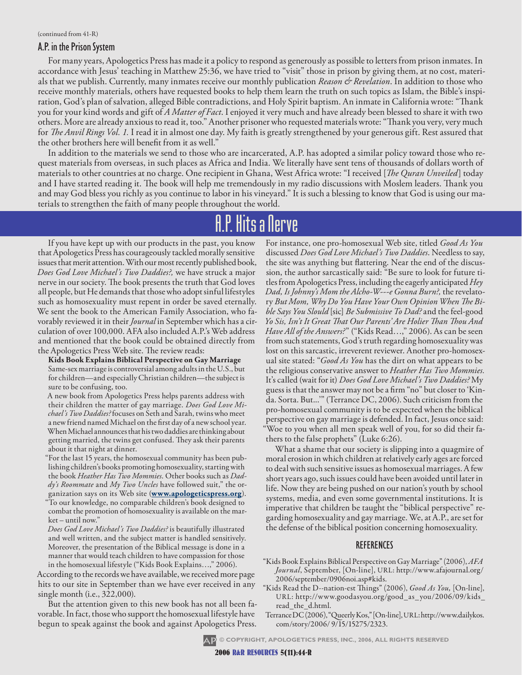#### A.P. in the Prison System

For many years, Apologetics Press has made it a policy to respond as generously as possible to letters from prison inmates. In accordance with Jesus' teaching in Matthew 25:36, we have tried to "visit" those in prison by giving them, at no cost, materials that we publish. Currently, many inmates receive our monthly publication *Reason & Revelation*. In addition to those who receive monthly materials, others have requested books to help them learn the truth on such topics as Islam, the Bible's inspiration, God's plan of salvation, alleged Bible contradictions, and Holy Spirit baptism. An inmate in California wrote: "Thank you for your kind words and gift of *A Matter of Fact*. I enjoyed it very much and have already been blessed to share it with two others. More are already anxious to read it, too." Another prisoner who requested materials wrote: "Thank you very, very much for *The Anvil Rings Vol. 1.* I read it in almost one day. My faith is greatly strengthened by your generous gift. Rest assured that the other brothers here will benefit from it as well."

In addition to the materials we send to those who are incarcerated, A.P. has adopted a similar policy toward those who request materials from overseas, in such places as Africa and India. We literally have sent tens of thousands of dollars worth of materials to other countries at no charge. One recipient in Ghana, West Africa wrote: "I received [*The Quran Unveiled*] today and I have started reading it. The book will help me tremendously in my radio discussions with Moslem leaders. Thank you and may God bless you richly as you continue to labor in his vineyard." It is such a blessing to know that God is using our materials to strengthen the faith of many people throughout the world.

# A.P. Hits a Nerve

If you have kept up with our products in the past, you know that Apologetics Press has courageously tackled morally sensitive issues that merit attention. With our most recently published book, *Does God Love Michael's Two Daddies?,* we have struck a major nerve in our society. The book presents the truth that God loves all people, but He demands that those who adopt sinful lifestyles such as homosexuality must repent in order be saved eternally. We sent the book to the American Family Association, who favorably reviewed it in their *Journal* in September which has a circulation of over 100,000. AFA also included A.P.'s Web address and mentioned that the book could be obtained directly from the Apologetics Press Web site. The review reads:

**Kids Book Explains Biblical Perspective on Gay Marriage** Same-sex marriage is controversial among adults in the U.S., but for children—and especially Christian children—the subject is sure to be confusing, too.

A new book from Apologetics Press helps parents address with their children the matter of gay marriage. *Does God Love Michael's Two Daddies?* focuses on Seth and Sarah, twins who meet a new friend named Michael on the first day of a new school year. When Michael announces that his two daddies are thinking about getting married, the twins get confused. They ask their parents about it that night at dinner.

- "For the last 15 years, the homosexual community has been publishing children's books promoting homosexuality, starting with the book *Heather Has Two Mommies*. Other books such as *Daddy's Roommate* and *My Two Uncles* have followed suit," the organization says on its Web site (**www.apologeticspress.org**).
- "To our knowledge, no comparable children's book designed to combat the promotion of homosexuality is available on the market – until now."
- *Does God Love Michael's Two Daddies?* is beautifully illustrated and well written, and the subject matter is handled sensitively. Moreover, the presentation of the Biblical message is done in a manner that would teach children to have compassion for those in the homosexual lifestyle ("Kids Book Explains…," 2006).

According to the records we have available, we received more page hits to our site in September than we have ever received in any single month (i.e., 322,000).

But the attention given to this new book has not all been favorable. In fact, those who support the homosexual lifestyle have begun to speak against the book and against Apologetics Press.

For instance, one pro-homosexual Web site, titled *Good As You* discussed *Does God Love Michael's Two Daddies*. Needless to say, the site was anything but flattering. Near the end of the discussion, the author sarcastically said: "Be sure to look for future titles from Apologetics Press, including the eagerly anticipated *Hey Dad, Is Johnny's Mom the Alcho-W---e Gonna Burn?,* the revelatory *But Mom, Why Do You Have Your Own Opinion When The Bible Says You Slould* [sic] *Be Submissive To Dad?* and the feel-good *Yo Sis, Isn't It Great That Our Parents' Are Holier Than Thou And Have All of the Answers?*" ("Kids Read…," 2006). As can be seen from such statements, God's truth regarding homosexuality was lost on this sarcastic, irreverent reviewer. Another pro-homosexual site stated: "*Good As You* has the dirt on what appears to be the religious conservative answer to *Heather Has Two Mommies.* It's called (wait for it) *Does God Love Michael's Two Daddies?* My guess is that the answer may not be a firm "no" but closer to 'Kinda. Sorta. But...'" (Terrance DC, 2006). Such criticism from the pro-homosexual community is to be expected when the biblical perspective on gay marriage is defended. In fact, Jesus once said: "Woe to you when all men speak well of you, for so did their fathers to the false prophets" (Luke 6:26).

What a shame that our society is slipping into a quagmire of moral erosion in which children at relatively early ages are forced to deal with such sensitive issues as homosexual marriages. A few short years ago, such issues could have been avoided until later in life. Now they are being pushed on our nation's youth by school systems, media, and even some governmental institutions. It is imperative that children be taught the "biblical perspective" regarding homosexuality and gay marriage. We, at A.P., are set for the defense of the biblical position concerning homosexuality.

#### **REFERENCES**

- "Kids Book Explains Biblical Perspective on Gay Marriage" (2006), *AFA Journal*, September, [On-line], URL: http://www.afajournal.org/ 2006/september/0906noi.asp#kids.
- "Kids Read the D--nation-est Things" (2006), *Good As You,* [On-line], URL: http://www.goodasyou.org/good\_as\_you/2006/09/kids\_ read\_the\_d.html.
- Terrance DC (2006), "Queerly Kos," [On-line], URL: http://www.dailykos. com/story/2006/ 9/15/15275/2323.

**© COPYRIGHT, APOLOGETICS PRESS, INC., 2006, ALL RIGHTS RESERVED**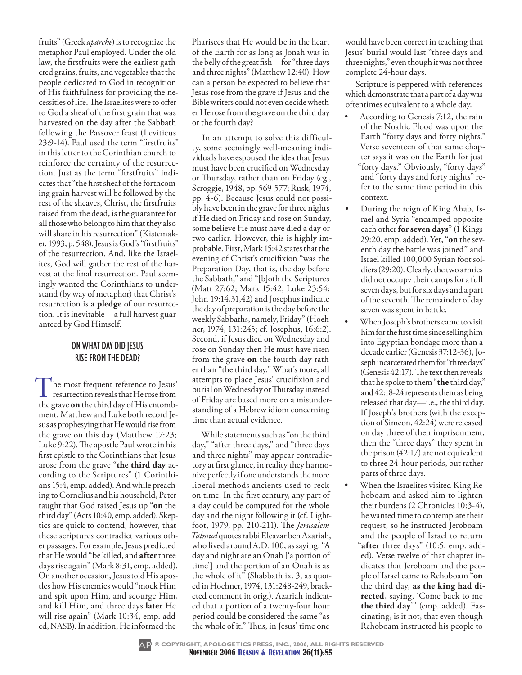fruits" (Greek *aparche*) is to recognize the metaphor Paul employed. Under the old law, the firstfruits were the earliest gathered grains, fruits, and vegetables that the people dedicated to God in recognition of His faithfulness for providing the necessities of life. The Israelites were to offer to God a sheaf of the first grain that was harvested on the day after the Sabbath following the Passover feast (Leviticus 23:9-14). Paul used the term "firstfruits" in this letter to the Corinthian church to reinforce the certainty of the resurrection. Just as the term "firstfruits" indicates that "the first sheaf of the forthcoming grain harvest will be followed by the rest of the sheaves, Christ, the firstfruits raised from the dead, is the guarantee for all those who belong to him that they also will share in his resurrection" (Kistemaker, 1993, p. 548). Jesus is God's "firstfruits" of the resurrection. And, like the Israelites, God will gather the rest of the harvest at the final resurrection. Paul seemingly wanted the Corinthians to understand (by way of metaphor) that Christ's resurrection is **a pledge** of our resurrection. It is inevitable—a full harvest guaranteed by God Himself.

#### On What Day Did Jesus Rise from the Dead?

The most frequent reference to Jesus'<br>resurrection reveals that He rose from<br>the grave on the third day of His entemb the grave **on** the third day of His entombment. Matthew and Luke both record Jesus as prophesying that He would rise from the grave on this day (Matthew 17:23; Luke 9:22). The apostle Paul wrote in his first epistle to the Corinthians that Jesus arose from the grave "**the third day** according to the Scriptures" (1 Corinthians 15:4, emp. added). And while preaching to Cornelius and his household, Peter taught that God raised Jesus up "**on** the third day" (Acts 10:40, emp. added). Skeptics are quick to contend, however, that these scriptures contradict various other passages. For example, Jesus predicted that He would "be killed, and **after** three days rise again" (Mark 8:31, emp. added). On another occasion, Jesus told His apostles how His enemies would "mock Him and spit upon Him, and scourge Him, and kill Him, and three days **later** He will rise again" (Mark 10:34, emp. added, NASB). In addition, He informed the

Pharisees that He would be in the heart of the Earth for as long as Jonah was in the belly of the great fish—for "three days and three nights" (Matthew 12:40). How can a person be expected to believe that Jesus rose from the grave if Jesus and the Bible writers could not even decide whether He rose from the grave on the third day or the fourth day?

In an attempt to solve this difficulty, some seemingly well-meaning individuals have espoused the idea that Jesus must have been crucified on Wednesday or Thursday, rather than on Friday (eg., Scroggie, 1948, pp. 569-577; Rusk, 1974, pp. 4-6). Because Jesus could not possibly have been in the grave for three nights if He died on Friday and rose on Sunday, some believe He must have died a day or two earlier. However, this is highly improbable. First, Mark 15:42 states that the evening of Christ's crucifixion "was the Preparation Day, that is, the day before the Sabbath," and "[b]oth the Scriptures (Matt 27:62; Mark 15:42; Luke 23:54; John 19:14,31,42) and Josephus indicate the day of preparation is the day before the weekly Sabbaths, namely, Friday" (Hoehner, 1974, 131:245; cf. Josephus, 16:6:2). Second, if Jesus died on Wednesday and rose on Sunday then He must have risen from the grave **on** the fourth day rather than "the third day." What's more, all attempts to place Jesus' crucifixion and burial on Wednesday or Thursday instead of Friday are based more on a misunderstanding of a Hebrew idiom concerning time than actual evidence.

While statements such as "on the third day," "after three days," and "three days and three nights" may appear contradictory at first glance, in reality they harmonize perfectly if one understands the more liberal methods ancients used to reckon time. In the first century, any part of a day could be computed for the whole day and the night following it (cf. Lightfoot, 1979, pp. 210-211). The *Jerusalem Talmud* quotes rabbi Eleazar ben Azariah, who lived around A.D. 100, as saying: "A day and night are an Onah ['a portion of time'] and the portion of an Onah is as the whole of it" (Shabbath ix. 3, as quoted in Hoehner, 1974, 131:248-249, bracketed comment in orig.). Azariah indicated that a portion of a twenty-four hour period could be considered the same "as the whole of it." Thus, in Jesus' time one

would have been correct in teaching that Jesus' burial would last "three days and three nights," even though it was not three complete 24-hour days.

Scripture is peppered with references which demonstrate that a part of a day was oftentimes equivalent to a whole day.

•

•

•

- According to Genesis 7:12, the rain of the Noahic Flood was upon the Earth "forty days and forty nights." Verse seventeen of that same chapter says it was on the Earth for just "forty days." Obviously, "forty days" and "forty days and forty nights" refer to the same time period in this context.
- During the reign of King Ahab, Israel and Syria "encamped opposite each other **for seven days**" (1 Kings 29:20, emp. added). Yet, "**on** the seventh day the battle was joined" and Israel killed 100,000 Syrian foot soldiers (29:20). Clearly, the two armies did not occupy their camps for a full seven days, but for six days and a part of the seventh. The remainder of day seven was spent in battle. •
- When Joseph's brothers came to visit him for the first time since selling him into Egyptian bondage more than a decade earlier (Genesis 37:12-36), Joseph incarcerated them for "three days" (Genesis 42:17). The text then reveals that he spoke to them "**the** third day," and 42:18-24 represents them as being released that day—i.e., the third day. If Joseph's brothers (with the exception of Simeon, 42:24) were released on day three of their imprisonment, then the "three days" they spent in the prison (42:17) are not equivalent to three 24-hour periods, but rather parts of three days.
- When the Israelites visited King Rehoboam and asked him to lighten their burdens (2 Chronicles 10:3-4), he wanted time to contemplate their request, so he instructed Jeroboam and the people of Israel to return "**after** three days" (10:5, emp. added). Verse twelve of that chapter indicates that Jeroboam and the people of Israel came to Rehoboam "**on** the third day, **as the king had directed**, saying, 'Come back to me **the third day**'" (emp. added). Fascinating, is it not, that even though Rehoboam instructed his people to

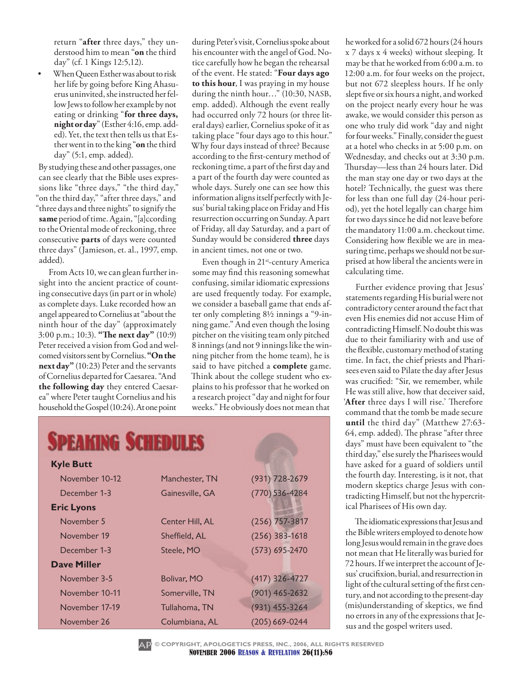return "**after** three days," they understood him to mean "**on** the third day" (cf. 1 Kings 12:5,12).

When Queen Esther was about to risk her life by going before King Ahasuerus uninvited, she instructed her fellow Jews to follow her example by not eating or drinking "**for three days, night or day**" (Esther 4:16, emp. added). Yet, the text then tells us that Esther went in to the king "**on** the third day" (5:1, emp. added). •

By studying these and other passages, one can see clearly that the Bible uses expressions like "three days," "the third day," "on the third day," "after three days," and "three days and three nights" to signify the **same** period of time. Again, "[a]ccording to the Oriental mode of reckoning, three consecutive **parts** of days were counted three days" (Jamieson, et. al., 1997, emp. added).

From Acts 10, we can glean further insight into the ancient practice of counting consecutive days (in part or in whole) as complete days. Luke recorded how an angel appeared to Cornelius at "about the ninth hour of the day" (approximately 3:00 p.m.; 10:3). **"The next day"** (10:9) Peter received a vision from God and welcomed visitors sent by Cornelius. **"On the next day"** (10:23) Peter and the servants of Cornelius departed for Caesarea. "And **the following day** they entered Caesarea" where Peter taught Cornelius and his household the Gospel (10:24). At one point

during Peter's visit, Cornelius spoke about his encounter with the angel of God. Notice carefully how he began the rehearsal of the event. He stated: "**Four days ago to this hour**, I was praying in my house during the ninth hour…" (10:30, NASB, emp. added). Although the event really had occurred only 72 hours (or three literal days) earlier, Cornelius spoke of it as taking place "four days ago to this hour." Why four days instead of three? Because according to the first-century method of reckoning time, a part of the first day and a part of the fourth day were counted as whole days. Surely one can see how this information aligns itself perfectly with Jesus' burial taking place on Friday and His resurrection occurring on Sunday. A part of Friday, all day Saturday, and a part of Sunday would be considered **three** days in ancient times, not one or two.

Even though in 21<sup>st</sup>-century America some may find this reasoning somewhat confusing, similar idiomatic expressions are used frequently today. For example, we consider a baseball game that ends after only completing 8½ innings a "9-inning game." And even though the losing pitcher on the visiting team only pitched 8 innings (and not 9 innings like the winning pitcher from the home team), he is said to have pitched a **complete** game. Think about the college student who explains to his professor that he worked on a research project "day and night for four weeks." He obviously does not mean that

| <b>SPEAKING SCHEDULES</b> |                 |                    |  |  |  |
|---------------------------|-----------------|--------------------|--|--|--|
| <b>Kyle Butt</b>          |                 |                    |  |  |  |
| November 10-12            | Manchester, TN  | $(931) 728 - 2679$ |  |  |  |
| December 1-3              | Gainesville, GA | $(770)$ 536-4284   |  |  |  |
| <b>Eric Lyons</b>         |                 |                    |  |  |  |
| November 5                | Center Hill, AL | $(256)$ 757-3817   |  |  |  |
| November 19               | Sheffield, AL   | $(256)$ 383-1618   |  |  |  |
| December 1-3              | Steele, MO      | $(573) 695 - 2470$ |  |  |  |
| <b>Dave Miller</b>        |                 |                    |  |  |  |
| November 3-5              | Bolivar, MO     | $(417)$ 326-4727   |  |  |  |
| November 10-11            | Somerville, TN  | $(901) 465 - 2632$ |  |  |  |
| November 17-19            | Tullahoma, TN   | $(931) 455 - 3264$ |  |  |  |
| November 26               | Columbiana, AL  | $(205) 669 - 0244$ |  |  |  |

he worked for a solid 672 hours (24 hours x 7 days x 4 weeks) without sleeping. It may be that he worked from 6:00 a.m. to 12:00 a.m. for four weeks on the project, but not 672 sleepless hours. If he only slept five or six hours a night, and worked on the project nearly every hour he was awake, we would consider this person as one who truly did work "day and night for four weeks." Finally, consider the guest at a hotel who checks in at 5:00 p.m. on Wednesday, and checks out at 3:30 p.m. Thursday—less than 24 hours later. Did the man stay one day or two days at the hotel? Technically, the guest was there for less than one full day (24-hour period), yet the hotel legally can charge him for two days since he did not leave before the mandatory 11:00 a.m. checkout time. Considering how flexible we are in measuring time, perhaps we should not be surprised at how liberal the ancients were in calculating time.

Further evidence proving that Jesus' statements regarding His burial were not contradictory center around the fact that even His enemies did not accuse Him of contradicting Himself. No doubt this was due to their familiarity with and use of the flexible, customary method of stating time. In fact, the chief priests and Pharisees even said to Pilate the day after Jesus was crucified: "Sir, we remember, while He was still alive, how that deceiver said, '**After** three days I will rise.' Therefore command that the tomb be made secure **until** the third day" (Matthew 27:63- 64, emp. added). The phrase "after three days" must have been equivalent to "the third day," else surely the Pharisees would have asked for a guard of soldiers until the fourth day. Interesting, is it not, that modern skeptics charge Jesus with contradicting Himself, but not the hypercritical Pharisees of His own day.

The idiomatic expressions that Jesus and the Bible writers employed to denote how long Jesus would remain in the grave does not mean that He literally was buried for 72 hours. If we interpret the account of Jesus' crucifixion, burial, and resurrection in light of the cultural setting of the first century, and not according to the present-day (mis)understanding of skeptics, we find no errors in any of the expressions that Jesus and the gospel writers used.

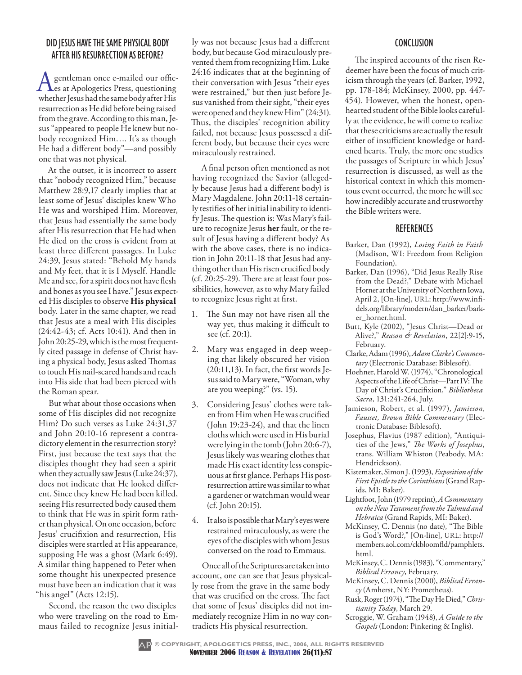#### Did Jesus Have the Same Physical Body After His Resurrection as Before?

A gentleman once e-mailed our offic-<br>es at Apologetics Press, questioning<br>whether Jesus had the came body ofter His whether Jesus had the same body after His resurrection as He did before being raised from the grave. According to this man, Jesus "appeared to people He knew but nobody recognized Him…. It's as though He had a different body"—and possibly one that was not physical.

At the outset, it is incorrect to assert that "nobody recognized Him," because Matthew 28:9,17 clearly implies that at least some of Jesus' disciples knew Who He was and worshiped Him. Moreover, that Jesus had essentially the same body after His resurrection that He had when He died on the cross is evident from at least three different passages. In Luke 24:39, Jesus stated: "Behold My hands and My feet, that it is I Myself. Handle Me and see, for a spirit does not have flesh and bones as you see I have." Jesus expected His disciples to observe **His physical** body. Later in the same chapter, we read that Jesus ate a meal with His disciples (24:42-43; cf. Acts 10:41). And then in John 20:25-29, which is the most frequently cited passage in defense of Christ having a physical body, Jesus asked Thomas to touch His nail-scared hands and reach into His side that had been pierced with the Roman spear.

But what about those occasions when some of His disciples did not recognize Him? Do such verses as Luke 24:31,37 and John 20:10-16 represent a contradictory element in the resurrection story? First, just because the text says that the disciples thought they had seen a spirit when they actually saw Jesus (Luke 24:37), does not indicate that He looked different. Since they knew He had been killed, seeing His resurrected body caused them to think that He was in spirit form rather than physical. On one occasion, before Jesus' crucifixion and resurrection, His disciples were startled at His appearance, supposing He was a ghost (Mark 6:49). A similar thing happened to Peter when some thought his unexpected presence must have been an indication that it was "his angel" (Acts 12:15).

Second, the reason the two disciples who were traveling on the road to Emmaus failed to recognize Jesus initial-

ly was not because Jesus had a different body, but because God miraculously prevented them from recognizing Him. Luke 24:16 indicates that at the beginning of their conversation with Jesus "their eyes were restrained," but then just before Jesus vanished from their sight, "their eyes were opened and they knew Him" (24:31). Thus, the disciples' recognition ability failed, not because Jesus possessed a different body, but because their eyes were miraculously restrained.

A final person often mentioned as not having recognized the Savior (allegedly because Jesus had a different body) is Mary Magdalene. John 20:11-18 certainly testifies of her initial inability to identify Jesus. The question is: Was Mary's failure to recognize Jesus **her** fault, or the result of Jesus having a different body? As with the above cases, there is no indication in John 20:11-18 that Jesus had anything other than His risen crucified body (cf. 20:25-29). There are at least four possibilities, however, as to why Mary failed to recognize Jesus right at first.

- The Sun may not have risen all the way yet, thus making it difficult to see (cf. 20:1). 1.
- Mary was engaged in deep weeping that likely obscured her vision (20:11,13). In fact, the first words Jesus said to Mary were, "Woman, why are you weeping?" (vs. 15). 2.
- Considering Jesus' clothes were tak-3. en from Him when He was crucified (John 19:23-24), and that the linen cloths which were used in His burial were lying in the tomb (John 20:6-7), Jesus likely was wearing clothes that made His exact identity less conspicuous at first glance. Perhaps His postresurrection attire was similar to what a gardener or watchman would wear (cf. John 20:15).
- It also is possible that Mary's eyes were 4. restrained miraculously, as were the eyes of the disciples with whom Jesus conversed on the road to Emmaus.

Once all of the Scriptures are taken into account, one can see that Jesus physically rose from the grave in the same body that was crucified on the cross. The fact that some of Jesus' disciples did not immediately recognize Him in no way contradicts His physical resurrection.

#### **CONCLUSION**

The inspired accounts of the risen Redeemer have been the focus of much criticism through the years (cf. Barker, 1992, pp. 178-184; McKinsey, 2000, pp. 447- 454). However, when the honest, openhearted student of the Bible looks carefully at the evidence, he will come to realize that these criticisms are actually the result either of insufficient knowledge or hardened hearts. Truly, the more one studies the passages of Scripture in which Jesus' resurrection is discussed, as well as the historical context in which this momentous event occurred, the more he will see how incredibly accurate and trustworthy the Bible writers were.

#### **REFERENCES**

- Barker, Dan (1992), *Losing Faith in Faith* (Madison, WI: Freedom from Religion Foundation).
- Barker, Dan (1996), "Did Jesus Really Rise from the Dead?," Debate with Michael Horner at the University of Northern Iowa, April 2, [On-line], URL: http://www.infidels.org/library/modern/dan\_barker/barker\_horner.html.
- Butt, Kyle (2002), "Jesus Christ—Dead or Alive?," *Reason & Revelation*, 22[2]:9-15, February.
- Clarke, Adam (1996), *Adam Clarke's Commentary* (Electronic Database: Biblesoft).
- Hoehner, Harold W. (1974), "Chronological Aspects of the Life of Christ—Part IV: The Day of Christ's Crucifixion," *Bibliotheca Sacra*, 131:241-264, July.
- Jamieson, Robert, et al. (1997), *Jamieson, Fausset, Brown Bible Commentary* (Electronic Database: Biblesoft).
- Josephus, Flavius (1987 edition), "Antiquities of the Jews," *The Works of Josephus*, trans. William Whiston (Peabody, MA: Hendrickson).
- Kistemaker, Simon J. (1993), *Exposition of the First Epistle to the Corinthians* (Grand Rapids, MI: Baker).
- Lightfoot, John (1979 reprint), *A Commentary on the New Testament from the Talmud and Hebraica* (Grand Rapids, MI: Baker).
- McKinsey, C. Dennis (no date), "The Bible is God's Word?," [On-line], URL: http:// members.aol.com/ckbloomfld/pamphlets. html.
- McKinsey, C. Dennis (1983), "Commentary," *Biblical Errancy*, February.
- McKinsey, C. Dennis (2000), *Biblical Errancy* (Amherst, NY: Prometheus).
- Rusk, Roger (1974), "The Day He Died," *Christianity Today*, March 29.
- Scroggie, W. Graham (1948), *A Guide to the Gospels* (London: Pinkering & Inglis).